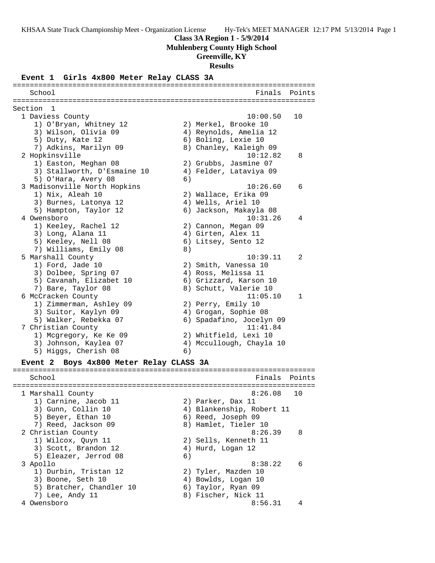#### **Class 3A Region 1 - 5/9/2014**

**Muhlenberg County High School**

## **Greenville, KY**

**Results**

#### **Event 1 Girls 4x800 Meter Relay CLASS 3A**

======================================================================= School **Finals** Points ======================================================================= Section 1 1 Daviess County 10:00.50 10 1) O'Bryan, Whitney 12 2) Merkel, Brooke 10 3) Wilson, Olivia 09 4) Reynolds, Amelia 12 5) Duty, Kate 12 6) Boling, Lexie 10 7) Adkins, Marilyn 09 8) Chanley, Kaleigh 09 2 Hopkinsville 10:12.82 8 1) Easton, Meghan 08 2) Grubbs, Jasmine 07 3) Stallworth, D'Esmaine 10 4) Felder, Lataviya 09 5) O'Hara, Avery 08 6) 3 Madisonville North Hopkins 10:26.60 6 1) Nix, Aleah 10 2) Wallace, Erika 09 3) Burnes, Latonya 12 (4) Wells, Ariel 10 5) Hampton, Taylor 12 6) Jackson, Makayla 08 4 Owensboro 10:31.26 4 1) Keeley, Rachel 12 2) Cannon, Megan 09 3) Long, Alana 11 4) Girten, Alex 11 5) Keeley, Nell 08 6) Litsey, Sento 12 7) Williams, Emily 08 8) 5 Marshall County 10:39.11 2 1) Ford, Jade 10 2) Smith, Vanessa 10 3) Dolbee, Spring 07 4) Ross, Melissa 11 5) Cavanah, Elizabet 10 6) Grizzard, Karson 10 7) Bare, Taylor 08 8) Schutt, Valerie 10 6 McCracken County 11:05.10 1 1) Zimmerman, Ashley 09 2) Perry, Emily 10 3) Suitor, Kaylyn 09 4) Grogan, Sophie 08 5) Walker, Rebekka 07 6) Spadafino, Jocelyn 09 7 Christian County 11:41.84 1) Mcgregory, Ke Ke 09 2) Whitfield, Lexi 10 3) Johnson, Kaylea 07 4) Mccullough, Chayla 10 5) Higgs, Cherish 08 6) **Event 2 Boys 4x800 Meter Relay CLASS 3A** ======================================================================= School **Finals** Points ======================================================================= 1 Marshall County 8:26.08 10 1) Carnine, Jacob 11 (2) Parker, Dax 11 3) Gunn, Collin 10 4) Blankenship, Robert 11 5) Beyer, Ethan 10 6) Reed, Joseph 09 7) Reed, Jackson 09 8) Hamlet, Tieler 10 2 Christian County 8:26.39 8 1) Wilcox, Quyn 11 2) Sells, Kenneth 11 3) Scott, Brandon 12 (4) Hurd, Logan 12 5) Eleazer, Jerrod 08 (6) 3 Apollo 8:38.22 6 1) Durbin, Tristan 12 2) Tyler, Mazden 10 3) Boone, Seth 10 4) Bowlds, Logan 10 5) Bratcher, Chandler 10 6) Taylor, Ryan 09 7) Lee, Andy 11 8) Fischer, Nick 11 4 Owensboro 8:56.31 4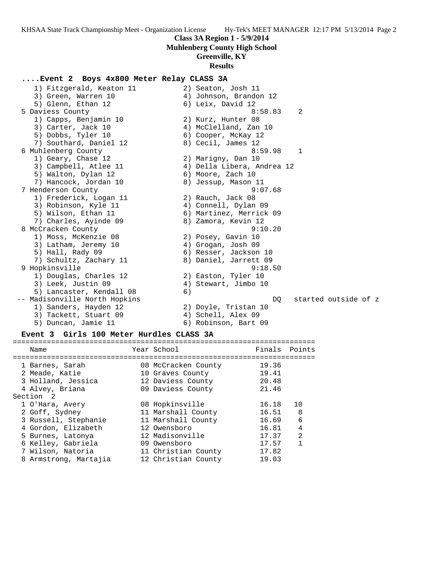#### **Muhlenberg County High School**

## **Greenville, KY**

#### **Results**

## **....Event 2 Boys 4x800 Meter Relay CLASS 3A**

 1) Fitzgerald, Keaton 11 2) Seaton, Josh 11 3) Green, Warren 10 4) Johnson, Brandon 12 5) Glenn, Ethan 12 (6) Leix, David 12 5 Daviess County 8:58.83 2 1) Capps, Benjamin 10 2) Kurz, Hunter 08 3) Carter, Jack 10 4) McClelland, Zan 10 5) Dobbs, Tyler 10 6) Cooper, McKay 12 7) Southard, Daniel 12 and 8) Cecil, James 12 6 Muhlenberg County 8:59.98 1 1) Geary, Chase 12 2) Marigny, Dan 10 3) Campbell, Atlee 11 4) Della Libera, Andrea 12 5) Walton, Dylan 12 (6) Moore, Zach 10 7) Hancock, Jordan 10 8) Jessup, Mason 11 7 Henderson County 9:07.68 1) Frederick, Logan 11 and 2) Rauch, Jack 08 3) Robinson, Kyle 11  $\hskip1cm$  4) Connell, Dylan 09 5) Wilson, Ethan 11 6) Martinez, Merrick 09 7) Charles, Ayinde 09 8) Zamora, Kevin 12 8 McCracken County 9:10.20 1) Moss, McKenzie 08 2) Posey, Gavin 10 3) Latham, Jeremy 10 (4) Grogan, Josh 09 5) Hall, Rady 09 6) Resser, Jackson 10 7) Schultz, Zachary 11 8) Daniel, Jarrett 09 9 Hopkinsville 9:18.50 1) Douglas, Charles 12 2) Easton, Tyler 10 3) Leek, Justin 09 (4) Stewart, Jimbo 10 5) Lancaster, Kendall 08 6) -- Madisonville North Hopkins DQ started outside of z 1) Sanders, Hayden 12 2) Doyle, Tristan 10 3) Tackett, Stuart 09 (4) Schell, Alex 09 5) Duncan, Jamie 11 6) Robinson, Bart 09

## **Event 3 Girls 100 Meter Hurdles CLASS 3A**

| Name                  | Year School         | Finals | Points |
|-----------------------|---------------------|--------|--------|
|                       |                     |        |        |
| 1 Barnes, Sarah       | 08 McCracken County | 19.36  |        |
| 2 Meade, Katie        | 10 Graves County    | 19.41  |        |
| 3 Holland, Jessica    | 12 Daviess County   | 20.48  |        |
| 4 Alvey, Briana       | 09 Daviess County   | 21.46  |        |
| Section 2             |                     |        |        |
| 1 O'Hara, Avery       | 08 Hopkinsville     | 16.18  | 10     |
| 2 Goff, Sydney        | 11 Marshall County  | 16.51  | 8      |
| 3 Russell, Stephanie  | 11 Marshall County  | 16.69  | 6      |
| 4 Gordon, Elizabeth   | 12 Owensboro        | 16.81  | 4      |
| 5 Burnes, Latonya     | 12 Madisonville     | 17.37  | 2      |
| 6 Kelley, Gabriela    | 09 Owensboro        | 17.57  | 1      |
| 7 Wilson, Natoria     | 11 Christian County | 17.82  |        |
| 8 Armstrong, Martajia | 12 Christian County | 19.03  |        |
|                       |                     |        |        |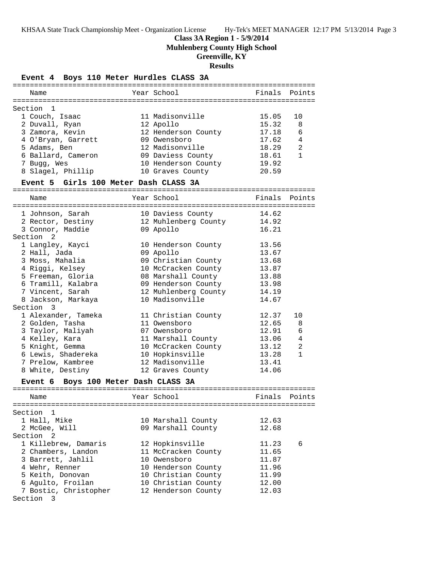**Class 3A Region 1 - 5/9/2014**

**Muhlenberg County High School**

**Greenville, KY**

#### **Results**

## **Event 4 Boys 110 Meter Hurdles CLASS 3A**

| Name                                                                                     | Year School          | Finals | Points         |
|------------------------------------------------------------------------------------------|----------------------|--------|----------------|
|                                                                                          |                      |        |                |
| Section 1                                                                                |                      |        |                |
| 1 Couch, Isaac                                                                           | 11 Madisonville      | 15.05  | 10             |
| 2 Duvall, Ryan                                                                           | 12 Apollo            | 15.32  | 8              |
| 3 Zamora, Kevin                                                                          | 12 Henderson County  | 17.18  | 6              |
| 4 O'Bryan, Garrett                                                                       | 09 Owensboro         | 17.62  | 4              |
| 5 Adams, Ben                                                                             | 12 Madisonville      | 18.29  | $\overline{2}$ |
| 6 Ballard, Cameron                                                                       | 09 Daviess County    | 18.61  | $\mathbf{1}$   |
| 7 Bugg, Wes                                                                              | 10 Henderson County  | 19.92  |                |
| 8 Slagel, Phillip                                                                        | 10 Graves County     | 20.59  |                |
| Event 5 Girls 100 Meter Dash CLASS 3A                                                    |                      |        |                |
| Name                                                                                     | Year School          | Finals | Points         |
|                                                                                          |                      |        |                |
|                                                                                          |                      |        |                |
| 1 Johnson, Sarah 10 Daviess County 14.62<br>2 Rector, Destiny 12 Muhlenberg County 14.92 |                      |        |                |
|                                                                                          |                      |        |                |
| 3 Connor, Maddie                                                                         | 09 Apollo            | 16.21  |                |
| Section 2                                                                                |                      |        |                |
| 1 Langley, Kayci                                                                         | 10 Henderson County  | 13.56  |                |
| 2 Hall, Jada                                                                             | 09 Apollo            | 13.67  |                |
| 3 Moss, Mahalia                                                                          | 09 Christian County  | 13.68  |                |
| 4 Riggi, Kelsey                                                                          | 10 McCracken County  | 13.87  |                |
| 5 Freeman, Gloria                                                                        | 08 Marshall County   | 13.88  |                |
| 6 Tramill, Kalabra                                                                       | 09 Henderson County  | 13.98  |                |
| 7 Vincent, Sarah                                                                         | 12 Muhlenberg County | 14.19  |                |
| 8 Jackson, Markaya                                                                       | 10 Madisonville      | 14.67  |                |
| Section 3                                                                                |                      |        |                |
| 1 Alexander, Tameka                                                                      | 11 Christian County  | 12.37  | 10             |
| 2 Golden, Tasha                                                                          | 11 Owensboro         | 12.65  | 8              |
| 3 Taylor, Maliyah                                                                        | 07 Owensboro         | 12.91  | 6              |
| 4 Kelley, Kara                                                                           | 11 Marshall County   | 13.06  | 4              |
| 5 Knight, Gemma                                                                          | 10 McCracken County  | 13.12  | 2              |
| 6 Lewis, Shadereka                                                                       | 10 Hopkinsville      | 13.28  | $\mathbf{1}$   |
| 7 Prelow, Kambree                                                                        | 12 Madisonville      | 13.41  |                |
| 8 White, Destiny                                                                         |                      | 14.06  |                |
|                                                                                          | 12 Graves County     |        |                |
| Event 6 Boys 100 Meter Dash CLASS 3A                                                     |                      |        |                |
| Name                                                                                     | Year School          | Finals | Points         |
|                                                                                          |                      |        |                |
| Section 1                                                                                |                      |        |                |
| 1 Hall, Mike                                                                             | 10 Marshall County   | 12.63  |                |
| 2 McGee, Will                                                                            | 09 Marshall County   | 12.68  |                |
| Section 2                                                                                |                      |        |                |
| 1 Killebrew, Damaris                                                                     | 12 Hopkinsville      | 11.23  | 6              |

 2 Chambers, Landon 11 McCracken County 11.65 3 Barrett, Jahlil 10 Owensboro 11.87 4 Wehr, Renner 10 Henderson County 11.96 5 Keith, Donovan 10 Christian County 11.99 6 Agulto, Froilan 10 Christian County 12.00 7 Bostic, Christopher 12 Henderson County 12.03

Section 3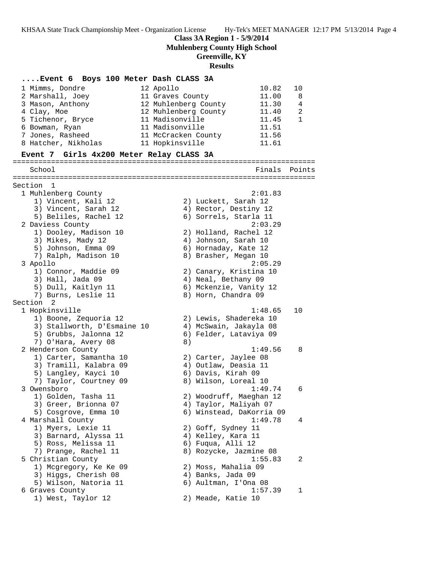**Class 3A Region 1 - 5/9/2014**

**Muhlenberg County High School**

# **Greenville, KY**

# **Results**

| Event 6 Boys 100 Meter Dash CLASS 3A       |                                   |                |
|--------------------------------------------|-----------------------------------|----------------|
| 1 Mimms, Dondre                            | 10.82<br>12 Apollo                | 10             |
| 2 Marshall, Joey                           | 11 Graves County<br>11.00         | 8              |
| 3 Mason, Anthony                           | 12 Muhlenberg County<br>11.30     | $\overline{4}$ |
| 4 Clay, Moe                                | 12 Muhlenberg County<br>11.40     | 2              |
| 5 Tichenor, Bryce                          | 11 Madisonville<br>11.45          | $\mathbf{1}$   |
| 6 Bowman, Ryan                             | 11 Madisonville<br>11.51          |                |
| 7 Jones, Rasheed                           | 11 McCracken County<br>11.56      |                |
|                                            | 11.61                             |                |
| 8 Hatcher, Nikholas                        | 11 Hopkinsville                   |                |
| Event 7 Girls 4x200 Meter Relay CLASS 3A   |                                   |                |
| School                                     | Finals                            | Points         |
| Section 1                                  |                                   |                |
| 1 Muhlenberg County                        | 2:01.83                           |                |
| 1) Vincent, Kali 12                        | 2) Luckett, Sarah 12              |                |
| 3) Vincent, Sarah 12                       | 4) Rector, Destiny 12             |                |
| 5) Beliles, Rachel 12                      | 6) Sorrels, Starla 11             |                |
| 2 Daviess County                           | 2:03.29                           |                |
| 1) Dooley, Madison 10                      | 2) Holland, Rachel 12             |                |
|                                            |                                   |                |
| 3) Mikes, Mady 12                          | 4) Johnson, Sarah 10              |                |
| 5) Johnson, Emma 09                        | 6) Hornaday, Kate 12              |                |
| 7) Ralph, Madison 10                       | 8) Brasher, Megan 10              |                |
| 3 Apollo                                   | 2:05.29                           |                |
| 1) Connor, Maddie 09                       | 2) Canary, Kristina 10            |                |
| 3) Hall, Jada 09                           | 4) Neal, Bethany 09               |                |
| 5) Dull, Kaitlyn 11                        | 6) Mckenzie, Vanity 12            |                |
| 7) Burns, Leslie 11                        | 8) Horn, Chandra 09               |                |
| Section 2                                  |                                   |                |
| 1 Hopkinsville                             | 1:48.65                           | 10             |
| 1) Boone, Zequoria 12                      | 2) Lewis, Shadereka 10            |                |
| 3) Stallworth, D'Esmaine 10                | 4) McSwain, Jakayla 08            |                |
| 5) Grubbs, Jalonna 12                      | 6) Felder, Lataviya 09            |                |
| 7) O'Hara, Avery 08                        | 8)                                |                |
| 2 Henderson County                         | 1:49.56                           | 8              |
| 1) Carter, Samantha 10                     | 2) Carter, Jaylee 08              |                |
| 3) Tramill, Kalabra 09                     | 4) Outlaw, Deasia 11              |                |
| 5) Langley, Kayci 10                       | 6) Davis, Kirah 09                |                |
| 7) Taylor, Courtney 09                     | 8) Wilson, Loreal 10              |                |
| 3 Owensboro                                | 1:49.74                           | 6              |
| 1) Golden, Tasha 11                        | 2) Woodruff, Maeghan 12           |                |
| 3) Greer, Brionna 07                       | 4) Taylor, Maliyah 07             |                |
| 5) Cosgrove, Emma 10                       | 6) Winstead, DaKorria 09          |                |
| 4 Marshall County                          | 1:49.78                           | 4              |
| 1) Myers, Lexie 11                         | 2) Goff, Sydney 11                |                |
| 3) Barnard, Alyssa 11                      | 4) Kelley, Kara 11                |                |
| 5) Ross, Melissa 11                        | 6) Fuqua, Alli 12                 |                |
|                                            |                                   |                |
| 7) Prange, Rachel 11<br>5 Christian County | 8) Rozycke, Jazmine 08<br>1:55.83 |                |
|                                            |                                   | 2              |
| 1) Mcgregory, Ke Ke 09                     | 2) Moss, Mahalia 09               |                |
| 3) Higgs, Cherish 08                       | 4) Banks, Jada 09                 |                |
| 5) Wilson, Natoria 11                      | 6) Aultman, I'Ona 08              |                |
| 6 Graves County                            | 1:57.39                           | 1              |
| 1) West, Taylor 12                         | 2) Meade, Katie 10                |                |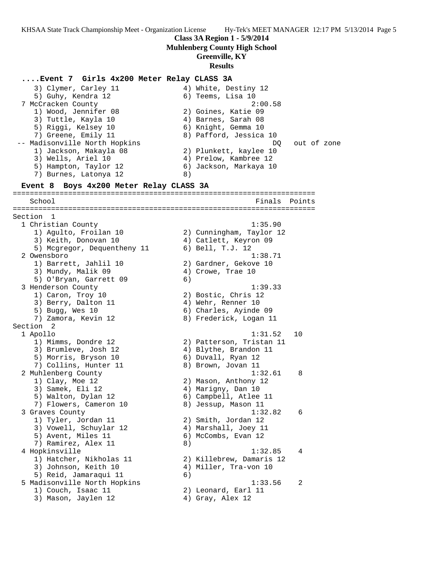## **Class 3A Region 1 - 5/9/2014**

#### **Muhlenberg County High School**

### **Greenville, KY**

#### **Results**

**....Event 7 Girls 4x200 Meter Relay CLASS 3A** 3) Clymer, Carley 11 4) White, Destiny 12 5) Guhy, Kendra 12 (6) Teems, Lisa 10 7 McCracken County 2:00.58 1) Wood, Jennifer 08 2) Goines, Katie 09 3) Tuttle, Kayla 10  $\hskip1cm 4)$  Barnes, Sarah 08 5) Riggi, Kelsey 10 (6) Knight, Gemma 10 7) Greene, Emily 11 8) Pafford, Jessica 10 -- Madisonville North Hopkins and the control of the DQ out of zone 1) Jackson, Makayla 08 2) Plunkett, kaylee 10 3) Wells, Ariel 10 4) Prelow, Kambree 12 5) Hampton, Taylor 12 6) Jackson, Markaya 10 7) Burnes, Latonya 12 (8) **Event 8 Boys 4x200 Meter Relay CLASS 3A** ======================================================================= School **Finals Points** ======================================================================= Section 1 1 Christian County 1:35.90 1) Agulto, Froilan 10 2) Cunningham, Taylor 12 3) Keith, Donovan 10 4) Catlett, Keyron 09 5) Mcgregor, Dequentheny 11 6) Bell, T.J. 12 2 Owensboro 1:38.71 1) Barrett, Jahlil 10 2) Gardner, Gekove 10 3) Mundy, Malik 09 4) Crowe, Trae 10 5) O'Bryan, Garrett 09 (6) 3 Henderson County 1:39.33 1) Caron, Troy 10 2) Bostic, Chris 12 3) Berry, Dalton 11 4) Wehr, Renner 10 5) Bugg, Wes 10 6) Charles, Ayinde 09 7) Zamora, Kevin 12 8) Frederick, Logan 11 Section 2 1 Apollo 1:31.52 10 1) Mimms, Dondre 12 2) Patterson, Tristan 11 3) Brumleve, Josh 12 4) Blythe, Brandon 11 5) Morris, Bryson 10 (6) Duvall, Ryan 12 7) Collins, Hunter 11 and 8) Brown, Jovan 11 2 Muhlenberg County 1:32.61 8 1) Clay, Moe 12 2) Mason, Anthony 12 3) Samek, Eli 12 (4) Marigny, Dan 10 5) Walton, Dylan 12 6) Campbell, Atlee 11 7) Flowers, Cameron 10 8) Jessup, Mason 11 3 Graves County 1:32.82 6 1) Tyler, Jordan 11 2) Smith, Jordan 12 3) Vowell, Schuylar 12 4) Marshall, Joey 11 5) Avent, Miles 11 6) McCombs, Evan 12 7) Ramirez, Alex 11 (8) 4 Hopkinsville 1:32.85 4 1) Hatcher, Nikholas 11 2) Killebrew, Damaris 12 3) Johnson, Keith 10 4) Miller, Tra-von 10 5) Reid, Jamaraqui 11 (6) 5 Madisonville North Hopkins 1:33.56 2 1) Couch, Isaac 11 2) Leonard, Earl 11 3) Mason, Jaylen 12 (4) Gray, Alex 12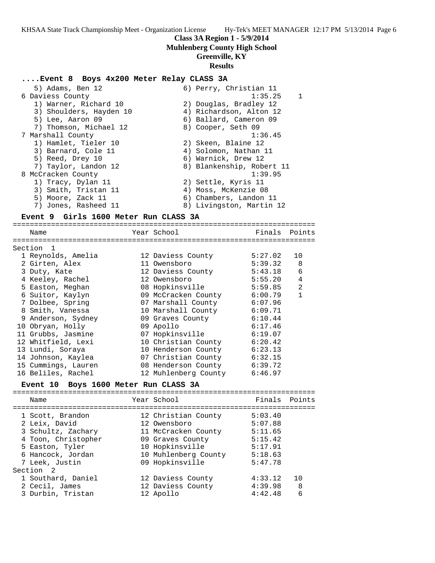#### **Class 3A Region 1 - 5/9/2014**

## **Muhlenberg County High School**

## **Greenville, KY**

#### **Results**

#### **....Event 8 Boys 4x200 Meter Relay CLASS 3A**

| 5) Adams, Ben 12        | 6) Perry, Christian 11    |                |
|-------------------------|---------------------------|----------------|
| 6 Daviess County        | 1:35.25                   | $\overline{1}$ |
| 1) Warner, Richard 10   | 2) Douglas, Bradley 12    |                |
| 3) Shoulders, Hayden 10 | 4) Richardson, Alton 12   |                |
| 5) Lee, Aaron 09        | 6) Ballard, Cameron 09    |                |
| 7) Thomson, Michael 12  | 8) Cooper, Seth 09        |                |
| 7 Marshall County       | 1:36.45                   |                |
| 1) Hamlet, Tieler 10    | 2) Skeen, Blaine 12       |                |
| 3) Barnard, Cole 11     | 4) Solomon, Nathan 11     |                |
| 5) Reed, Drey 10        | 6) Warnick, Drew 12       |                |
| 7) Taylor, Landon 12    | 8) Blankenship, Robert 11 |                |
| 8 McCracken County      | 1:39.95                   |                |
| 1) Tracy, Dylan 11      | 2) Settle, Kyris 11       |                |
| 3) Smith, Tristan 11    | 4) Moss, McKenzie 08      |                |
| 5) Moore, Zack 11       | 6) Chambers, Landon 11    |                |
| 7) Jones, Rasheed 11    | 8) Livingston, Martin 12  |                |
|                         |                           |                |

## **Event 9 Girls 1600 Meter Run CLASS 3A**

======================================================================= Name Tear School Tear School Finals Points ======================================================================= Section 1 1 Reynolds, Amelia 12 Daviess County 5:27.02 10 2 Girten, Alex 11 Owensboro 5:39.32 8 3 Duty, Kate 12 Daviess County 5:43.18 6 4 Keeley, Rachel 12 Owensboro 5:55.20 4 5 Easton, Meghan 08 Hopkinsville 5:59.85 2 6 Suitor, Kaylyn 09 McCracken County 6:00.79 1 7 Dolbee, Spring 07 Marshall County 6:07.96 8 Smith, Vanessa 10 Marshall County 6:09.71 9 Anderson, Sydney 09 Graves County 6:10.44 10 Obryan, Holly 09 Apollo 6:17.46 11 Grubbs, Jasmine 07 Hopkinsville 6:19.07 12 Whitfield, Lexi 10 Christian County 6:20.42 13 Lundi, Soraya 10 Henderson County 6:23.13 14 Johnson, Kaylea 07 Christian County 6:32.15 15 Cummings, Lauren 08 Henderson County 6:39.72 16 Beliles, Rachel 12 Muhlenberg County 6:46.97

### **Event 10 Boys 1600 Meter Run CLASS 3A**

======================================================================= Name The Year School The Finals Points ======================================================================= 1 Scott, Brandon 12 Christian County 5:03.40 2 Leix, David 12 Owensboro 5:07.88 3 Schultz, Zachary 11 McCracken County 5:11.65 4 Toon, Christopher 09 Graves County 5:15.42 5 Easton, Tyler 10 Hopkinsville 5:17.91 6 Hancock, Jordan 10 Muhlenberg County 5:18.63 7 Leek, Justin 09 Hopkinsville 5:47.78 Section 2 1 Southard, Daniel 12 Daviess County 4:33.12 10 2 Cecil, James 12 Daviess County 4:39.98 8 3 Durbin, Tristan 12 Apollo 4:42.48 6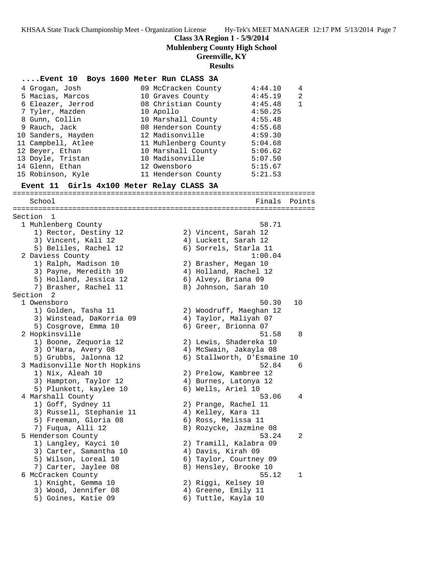**Class 3A Region 1 - 5/9/2014**

**Muhlenberg County High School**

**Greenville, KY**

#### **Results**

### **....Event 10 Boys 1600 Meter Run CLASS 3A**

- 4 Grogan, Josh 09 McCracken County 4:44.10 4 5 Macias, Marcos 10 Graves County 4:45.19 2 6 Eleazer, Jerrod 08 Christian County 4:45.48 1 7 Tyler, Mazden 10 Apollo 4:50.25 8 Gunn, Collin 10 Marshall County 4:55.48 9 Rauch, Jack 08 Henderson County 4:55.68 10 Sanders, Hayden 12 Madisonville 4:59.30 11 Campbell, Atlee 11 Muhlenberg County 5:04.68 12 Beyer, Ethan 10 Marshall County 5:06.62 13 Doyle, Tristan 10 Madisonville 5:07.50 14 Glenn, Ethan 12 Owensboro 5:15.67
- 15 Robinson, Kyle 11 Henderson County 5:21.53

#### **Event 11 Girls 4x100 Meter Relay CLASS 3A**

======================================================================= School **Finals Points** ======================================================================= Section 1 1 Muhlenberg County 58.71 1) Rector, Destiny 12 2) Vincent, Sarah 12 3) Vincent, Kali 12 4) Luckett, Sarah 12 5) Beliles, Rachel 12 6) Sorrels, Starla 11 2 Daviess County 1:00.04 1) Ralph, Madison 10 2) Brasher, Megan 10 3) Payne, Meredith 10 4) Holland, Rachel 12 5) Holland, Jessica 12 6) Alvey, Briana 09 7) Brasher, Rachel 11 8) Johnson, Sarah 10 Section 2<br>1 Owensboro 1 Owensboro 50.30 10 1) Golden, Tasha 11 2) Woodruff, Maeghan 12 3) Winstead, DaKorria 09 4) Taylor, Maliyah 07 5) Cosgrove, Emma 10 6) Greer, Brionna 07 2 Hopkinsville 51.58 8 1) Boone, Zequoria 12 2) Lewis, Shadereka 10 3) O'Hara, Avery 08 4) McSwain, Jakayla 08 5) Grubbs, Jalonna 12 6) Stallworth, D'Esmaine 10 3 Madisonville North Hopkins 52.84 6 1) Nix, Aleah 10 2) Prelow, Kambree 12 3) Hampton, Taylor 12 4) Burnes, Latonya 12 5) Plunkett, kaylee 10  $\qquad \qquad$  6) Wells, Ariel 10 4 Marshall County 53.06 4 1) Goff, Sydney 11 2) Prange, Rachel 11 3) Russell, Stephanie 11  $\hskip10mm 4$ ) Kelley, Kara 11 5) Freeman, Gloria 08 (6) Ross, Melissa 11 7) Fuqua, Alli 12 8) Rozycke, Jazmine 08 5 Henderson County 53.24 2 1) Langley, Kayci 10 2) Tramill, Kalabra 09 3) Carter, Samantha 10 4) Davis, Kirah 09 5) Wilson, Loreal 10 6) Taylor, Courtney 09 7) Carter, Jaylee 08 8) Hensley, Brooke 10 6 McCracken County 55.12 1 1) Knight, Gemma 10 2) Riggi, Kelsey 10 3) Wood, Jennifer 08 (4) Greene, Emily 11 5) Goines, Katie 09 6) Tuttle, Kayla 10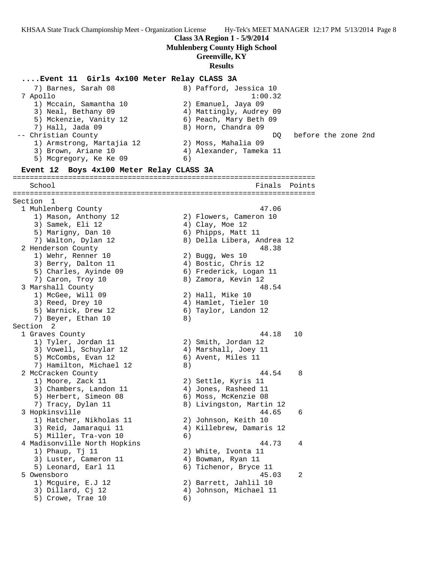# **Class 3A Region 1 - 5/9/2014**

**Muhlenberg County High School**

# **Greenville, KY**

# **Results**

## **....Event 11 Girls 4x100 Meter Relay CLASS 3A**

| 7) Barnes, Sarah 08<br>7 Apollo               | 8) Pafford, Jessica 10<br>1:00.32           |
|-----------------------------------------------|---------------------------------------------|
| 1) Mccain, Samantha 10                        | 2) Emanuel, Jaya 09                         |
| 3) Neal, Bethany 09                           | 4) Mattingly, Audrey 09                     |
| 5) Mckenzie, Vanity 12                        | 6) Peach, Mary Beth 09                      |
| 7) Hall, Jada 09                              | 8) Horn, Chandra 09                         |
| -- Christian County                           | before the zone 2nd<br>DQ.                  |
| 1) Armstrong, Martajia 12                     | 2) Moss, Mahalia 09                         |
| 3) Brown, Ariane 10                           | 4) Alexander, Tameka 11                     |
| 5) Mcgregory, Ke Ke 09                        | 6)                                          |
| Event 12 Boys 4x100 Meter Relay CLASS 3A      |                                             |
| School                                        | Finals Points                               |
|                                               | -----------                                 |
| Section<br>$\mathbf{1}$                       |                                             |
| 1 Muhlenberg County                           | 47.06                                       |
| 1) Mason, Anthony 12                          | 2) Flowers, Cameron 10                      |
| 3) Samek, Eli 12                              | 4) Clay, Moe 12                             |
| 5) Marigny, Dan 10                            | 6) Phipps, Matt 11                          |
| 7) Walton, Dylan 12                           | 8) Della Libera, Andrea 12                  |
| 2 Henderson County                            | 48.38                                       |
| 1) Wehr, Renner 10                            | 2) Bugg, Wes 10                             |
| 3) Berry, Dalton 11                           | 4) Bostic, Chris 12                         |
| 5) Charles, Ayinde 09                         | 6) Frederick, Logan 11                      |
| 7) Caron, Troy 10                             | 8) Zamora, Kevin 12                         |
| 3 Marshall County                             | 48.54                                       |
| 1) McGee, Will 09                             | 2) Hall, Mike 10                            |
| 3) Reed, Drey 10                              | 4) Hamlet, Tieler 10                        |
| 5) Warnick, Drew 12                           | 6) Taylor, Landon 12                        |
| 7) Beyer, Ethan 10                            | 8)                                          |
| Section 2                                     |                                             |
| 1 Graves County                               | 44.18<br>10                                 |
| 1) Tyler, Jordan 11<br>3) Vowell, Schuylar 12 | 2) Smith, Jordan 12<br>4) Marshall, Joey 11 |
| 5) McCombs, Evan 12                           | 6) Avent, Miles 11                          |
| 7) Hamilton, Michael 12                       | 8)                                          |
| 2 McCracken County                            | 44.54<br>8                                  |
| 1) Moore, Zack 11                             | 2) Settle, Kyris 11                         |
| 3) Chambers, Landon 11                        | 4) Jones, Rasheed 11                        |
| 5) Herbert, Simeon 08                         | 6) Moss, McKenzie 08                        |
| 7) Tracy, Dylan 11                            | 8) Livingston, Martin 12                    |
| 3 Hopkinsville                                | 44.65<br>6                                  |
| 1) Hatcher, Nikholas 11                       | 2) Johnson, Keith 10                        |
| 3) Reid, Jamaraqui 11                         | 4) Killebrew, Damaris 12                    |
| 5) Miller, Tra-von 10                         | 6)                                          |
| 4 Madisonville North Hopkins                  | 44.73<br>4                                  |
| 1) Phaup, Tj 11                               | 2) White, Ivonta 11                         |
| 3) Luster, Cameron 11                         | 4) Bowman, Ryan 11                          |
| 5) Leonard, Earl 11                           | 6) Tichenor, Bryce 11                       |
| 5 Owensboro                                   | 45.03<br>2                                  |
| 1) Mcguire, E.J 12                            | 2) Barrett, Jahlil 10                       |
| 3) Dillard, Cj 12                             | 4) Johnson, Michael 11                      |
| 5) Crowe, Trae 10                             | 6)                                          |
|                                               |                                             |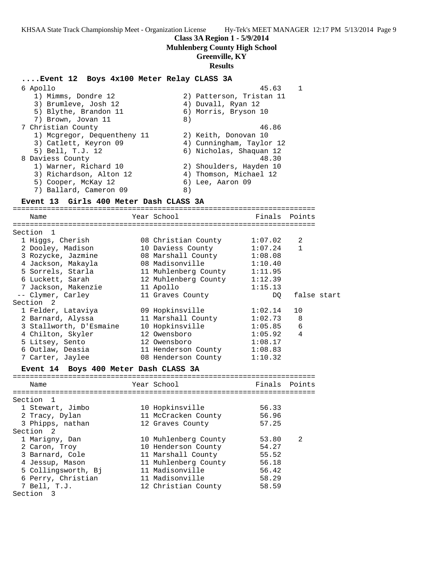#### **Class 3A Region 1 - 5/9/2014**

#### **Muhlenberg County High School**

#### **Greenville, KY**

#### **Results**

## **....Event 12 Boys 4x100 Meter Relay CLASS 3A** 6 Apollo 45.63 1 1) Mimms, Dondre 12 2) Patterson, Tristan 11 3) Brumleve, Josh 12 (4) Duvall, Ryan 12 5) Blythe, Brandon 11 6) Morris, Bryson 10 7) Brown, Jovan 11 8) 7 Christian County 46.86 1) Mcgregor, Dequentheny 11 2) Keith, Donovan 10 3) Catlett, Keyron 09 4) Cunningham, Taylor 12 5) Bell, T.J. 12 6) Nicholas, Shaquan 12 8 Daviess County 48.30 1) Warner, Richard 10 2) Shoulders, Hayden 10 3) Richardson, Alton 12 4) Thomson, Michael 12

5) Cooper, McKay 12 6) Lee, Aaron 09 7) Ballard, Cameron 09 8)

## **Event 13 Girls 400 Meter Dash CLASS 3A**

======================================================================= Name The Year School The Finals Points ======================================================================= Section 1 1 Higgs, Cherish 08 Christian County 1:07.02 2 2 Dooley, Madison 10 Daviess County 1:07.24 1 3 Rozycke, Jazmine 08 Marshall County 1:08.08 4 Jackson, Makayla 08 Madisonville 1:10.40 5 Sorrels, Starla 11 Muhlenberg County 1:11.95 6 Luckett, Sarah 12 Muhlenberg County 1:12.39 7 Jackson, Makenzie 11 Apollo 1:15.13 -- Clymer, Carley 11 Graves County DQ false start Section 2 1 Felder, Lataviya 09 Hopkinsville 1:02.14 10 2 Barnard, Alyssa 11 Marshall County 1:02.73 8 3 Stallworth, D'Esmaine 10 Hopkinsville 1:05.85 6 4 Chilton, Skyler 12 Owensboro 1:05.92 4 5 Litsey, Sento 12 Owensboro 1:08.17 6 Outlaw, Deasia 11 Henderson County 1:08.83 7 Carter, Jaylee 08 Henderson County 1:10.32 **Event 14 Boys 400 Meter Dash CLASS 3A** ======================================================================= Name Year School Finals Points ======================================================================= Section 1 1 Stewart, Jimbo 10 Hopkinsville 56.33 2 Tracy, Dylan 11 McCracken County 56.96 3 Phipps, nathan 12 Graves County 57.25 Section 2 1 Marigny, Dan 10 Muhlenberg County 53.80 2 2 Caron, Troy 10 Henderson County 54.27 3 Barnard, Cole 11 Marshall County 55.52

 4 Jessup, Mason 11 Muhlenberg County 56.18 5 Collingsworth, Bj 11 Madisonville 56.42 6 Perry, Christian 11 Madisonville 58.29 7 Bell, T.J. 12 Christian County 58.59 Section 3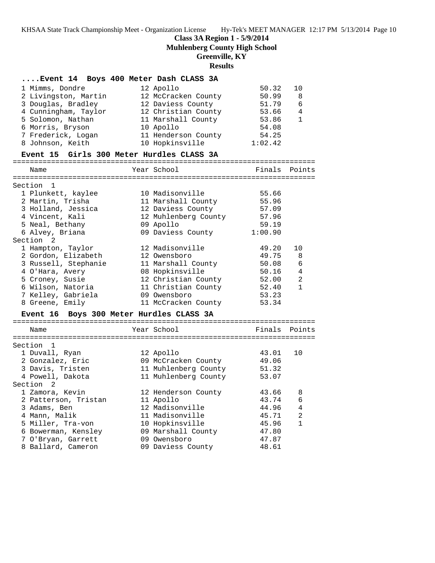# **Class 3A Region 1 - 5/9/2014**

**Muhlenberg County High School**

# **Greenville, KY**

**Results**

| Event 14 Boys 400 Meter Dash CLASS 3A     |                      |         |             |
|-------------------------------------------|----------------------|---------|-------------|
| 1 Mimms, Dondre                           | 12 Apollo            | 50.32   | 10          |
| 2 Livingston, Martin                      | 12 McCracken County  | 50.99   | 8           |
| 3 Douglas, Bradley                        | 12 Daviess County    | 51.79   | 6           |
| 4 Cunningham, Taylor                      | 12 Christian County  | 53.66   | 4           |
| 5 Solomon, Nathan                         | 11 Marshall County   | 53.86   | 1           |
| 6 Morris, Bryson                          | 10 Apollo            | 54.08   |             |
| 7 Frederick, Logan                        | 11 Henderson County  | 54.25   |             |
| 8 Johnson, Keith                          | 10 Hopkinsville      | 1:02.42 |             |
| Event 15 Girls 300 Meter Hurdles CLASS 3A |                      |         |             |
| Name                                      | Year School          | Finals  | Points      |
|                                           |                      |         |             |
| Section 1                                 |                      |         |             |
| 1 Plunkett, kaylee                        | 10 Madisonville      | 55.66   |             |
| 2 Martin, Trisha                          | 11 Marshall County   | 55.96   |             |
| 3 Holland, Jessica                        | 12 Daviess County    | 57.09   |             |
| 4 Vincent, Kali                           | 12 Muhlenberg County | 57.96   |             |
| 5 Neal, Bethany                           | 09 Apollo            | 59.19   |             |
| 6 Alvey, Briana                           | 09 Daviess County    | 1:00.90 |             |
| Section 2                                 |                      |         |             |
| 1 Hampton, Taylor                         | 12 Madisonville      | 49.20   | 10          |
| 2 Gordon, Elizabeth                       | 12 Owensboro         | 49.75   | 8           |
| 3 Russell, Stephanie                      | 11 Marshall County   | 50.08   | 6           |
| 4 O'Hara, Avery                           | 08 Hopkinsville      | 50.16   | 4           |
| 5 Croney, Susie                           | 12 Christian County  | 52.00   | 2           |
| 6 Wilson, Natoria                         | 11 Christian County  | 52.40   | $\mathbf 1$ |
| 7 Kelley, Gabriela                        | 09 Owensboro         | 53.23   |             |
| 8 Greene, Emily                           | 11 McCracken County  | 53.34   |             |
| Event 16 Boys 300 Meter Hurdles CLASS 3A  |                      |         |             |
| Name                                      | Year School          | Finals  | Points      |
|                                           |                      |         |             |
| Section 1                                 |                      |         |             |
| 1 Duvall, Ryan                            | 12 Apollo            | 43.01   | 10          |
| 2 Gonzalez, Eric                          | 09 McCracken County  | 49.06   |             |
| 3 Davis, Tristen                          | 11 Muhlenberg County | 51.32   |             |
| 4 Powell, Dakota                          | 11 Muhlenberg County | 53.07   |             |
| Section 2                                 |                      |         |             |
| 1 Zamora, Kevin                           | 12 Henderson County  | 43.66   | 8           |
| 2 Patterson, Tristan                      | 11 Apollo            | 43.74   | 6           |
| 3 Adams, Ben                              | 12 Madisonville      | 44.96   | 4           |
| 4 Mann, Malik                             | 11 Madisonville      | 45.71   | 2           |
| 5 Miller, Tra-von                         | 10 Hopkinsville      | 45.96   | $\mathbf 1$ |
| 6 Bowerman, Kensley                       | 09 Marshall County   | 47.80   |             |
| 7 O'Bryan, Garrett                        | 09 Owensboro         | 47.87   |             |
| 8 Ballard, Cameron                        | 09 Daviess County    | 48.61   |             |
|                                           |                      |         |             |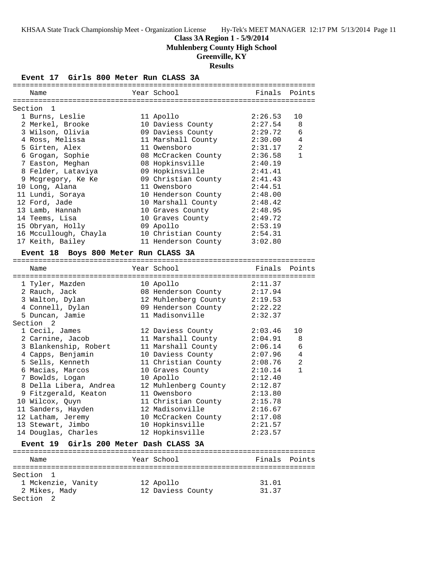**Muhlenberg County High School**

# **Greenville, KY**

**Results**

**Event 17 Girls 800 Meter Run CLASS 3A**

| Name                                   | Year School          | Finals  | Points       |
|----------------------------------------|----------------------|---------|--------------|
|                                        |                      |         |              |
| Section<br>1                           |                      |         |              |
| 1 Burns, Leslie                        | 11 Apollo            | 2:26.53 | 10           |
| 2 Merkel, Brooke                       | 10 Daviess County    | 2:27.54 | 8            |
| 3 Wilson, Olivia                       | 09 Daviess County    | 2:29.72 | 6            |
| 4 Ross, Melissa                        | 11 Marshall County   | 2:30.00 | 4            |
| 5 Girten, Alex                         | 11 Owensboro         | 2:31.17 | 2            |
| 6 Grogan, Sophie                       | 08 McCracken County  | 2:36.58 | $\mathbf{1}$ |
| 7 Easton, Meghan                       | 08 Hopkinsville      | 2:40.19 |              |
| 8 Felder, Lataviya                     | 09 Hopkinsville      | 2:41.41 |              |
| 9 Mcgregory, Ke Ke                     | 09 Christian County  | 2:41.43 |              |
| 10 Long, Alana                         | 11 Owensboro         | 2:44.51 |              |
| 11 Lundi, Soraya                       | 10 Henderson County  | 2:48.00 |              |
| 12 Ford, Jade                          | 10 Marshall County   | 2:48.42 |              |
| 13 Lamb, Hannah                        | 10 Graves County     | 2:48.95 |              |
| 14 Teems, Lisa                         | 10 Graves County     | 2:49.72 |              |
| 15 Obryan, Holly                       | 09 Apollo            | 2:53.19 |              |
| 16 Mccullough, Chayla                  | 10 Christian County  | 2:54.31 |              |
| 17 Keith, Bailey                       | 11 Henderson County  | 3:02.80 |              |
| Event 18 Boys 800 Meter Run CLASS 3A   |                      |         |              |
|                                        |                      |         |              |
| Name                                   | Year School          | Finals  | Points       |
|                                        |                      |         |              |
| 1 Tyler, Mazden                        | 10 Apollo            | 2:11.37 |              |
| 2 Rauch, Jack                          | 08 Henderson County  | 2:17.94 |              |
| 3 Walton, Dylan                        | 12 Muhlenberg County | 2:19.53 |              |
| 4 Connell, Dylan                       | 09 Henderson County  | 2:22.22 |              |
| 5 Duncan, Jamie                        | 11 Madisonville      | 2:32.37 |              |
| Section <sub>2</sub>                   |                      |         |              |
| 1 Cecil, James                         | 12 Daviess County    | 2:03.46 | 10           |
| 2 Carnine, Jacob                       | 11 Marshall County   | 2:04.91 | 8            |
| 3 Blankenship, Robert                  | 11 Marshall County   | 2:06.14 | 6            |
| 4 Capps, Benjamin                      | 10 Daviess County    | 2:07.96 | 4            |
| 5 Sells, Kenneth                       | 11 Christian County  | 2:08.76 | 2            |
| 6 Macias, Marcos                       | 10 Graves County     | 2:10.14 | $\mathbf{1}$ |
| 7 Bowlds, Logan                        | 10 Apollo            | 2:12.40 |              |
| 8 Della Libera, Andrea                 | 12 Muhlenberg County | 2:12.87 |              |
| 9 Fitzgerald, Keaton                   | 11 Owensboro         | 2:13.80 |              |
| 10 Wilcox, Quyn                        | 11 Christian County  | 2:15.78 |              |
| 11 Sanders, Hayden                     | 12 Madisonville      | 2:16.67 |              |
| 12 Latham, Jeremy                      | 10 McCracken County  | 2:17.08 |              |
| 13 Stewart, Jimbo                      | 10 Hopkinsville      | 2:21.57 |              |
| 14 Douglas, Charles                    | 12 Hopkinsville      | 2:23.57 |              |
|                                        |                      |         |              |
| Event 19 Girls 200 Meter Dash CLASS 3A |                      |         |              |
| Name                                   | Year School          | Finals  | Points       |
|                                        |                      |         |              |
| Section 1                              |                      |         |              |
| 1 Mckenzie, Vanity                     | 12 Apollo            | 31.01   |              |
| 2 Mikes, Mady                          | 12 Daviess County    | 31.37   |              |
| Section 2                              |                      |         |              |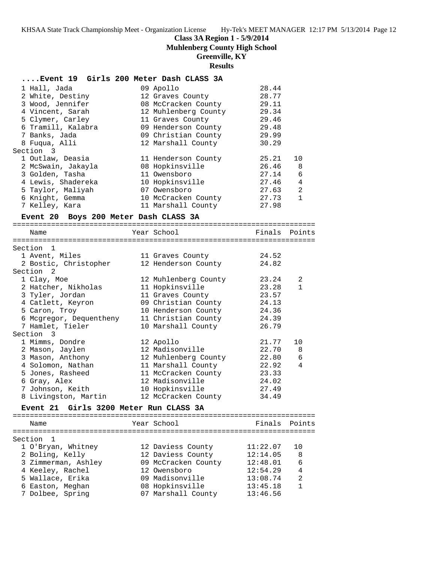#### **Class 3A Region 1 - 5/9/2014**

**Muhlenberg County High School**

#### **Greenville, KY**

**Results**

| Event 19 Girls 200 Meter Dash CLASS 3A |                      |       |                |
|----------------------------------------|----------------------|-------|----------------|
| 1 Hall, Jada                           | 09 Apollo            | 28.44 |                |
| 2 White, Destiny                       | 12 Graves County     | 28.77 |                |
| 3 Wood, Jennifer                       | 08 McCracken County  | 29.11 |                |
| 4 Vincent, Sarah                       | 12 Muhlenberg County | 29.34 |                |
| 5 Clymer, Carley                       | 11 Graves County     | 29.46 |                |
| 6 Tramill, Kalabra                     | 09 Henderson County  | 29.48 |                |
| 7 Banks, Jada                          | 09 Christian County  | 29.99 |                |
| 8 Fugua, Alli                          | 12 Marshall County   | 30.29 |                |
| Section 3                              |                      |       |                |
| 1 Outlaw, Deasia                       | 11 Henderson County  | 25.21 | 10             |
| 2 McSwain, Jakayla                     | 08 Hopkinsville      | 26.46 | 8              |
| 3 Golden, Tasha                        | 11 Owensboro         | 27.14 | 6              |
| 4 Lewis, Shadereka                     | 10 Hopkinsville      | 27.46 | $\overline{4}$ |
| 5 Taylor, Maliyah                      | 07 Owensboro         | 27.63 | 2              |
| 6 Knight, Gemma                        | 10 McCracken County  | 27.73 | $\mathbf{1}$   |
| 7 Kelley, Kara                         | 11 Marshall County   | 27.98 |                |

#### **Event 20 Boys 200 Meter Dash CLASS 3A**

======================================================================= Name Tear School Tear School Finals Points ======================================================================= Section 1 1 Avent, Miles 11 Graves County 24.52 2 Bostic, Christopher 12 Henderson County 24.82 Section 2 1 Clay, Moe 12 Muhlenberg County 23.24 2 2 Hatcher, Nikholas 11 Hopkinsville 23.28 1 3 Tyler, Jordan 11 Graves County 23.57 4 Catlett, Keyron 09 Christian County 24.13 5 Caron, Troy 10 Henderson County 24.36 6 Mcgregor, Dequentheny 11 Christian County 24.39 7 Hamlet, Tieler 10 Marshall County 26.79 Section 3 1 Mimms, Dondre 12 Apollo 21.77 10 2 Mason, Jaylen 12 Madisonville 22.70 8 3 Mason, Anthony 12 Muhlenberg County 22.80 6 4 Solomon, Nathan 11 Marshall County 22.92 4 5 Jones, Rasheed 11 McCracken County 23.33 6 Gray, Alex 12 Madisonville 24.02 7 Johnson, Keith 10 Hopkinsville 27.49 8 Livingston, Martin 12 McCracken County 34.49 **Event 21 Girls 3200 Meter Run CLASS 3A** ======================================================================= Name The School Team School (Finals Points ======================================================================= Section 1 1 O'Bryan, Whitney 12 Daviess County 11:22.07 10 2 Boling, Kelly 12 Daviess County 12:14.05 8

| Z BOITHG' VETTA     | TY DAVIESS COMILY   | 14.14.VD | 0            |
|---------------------|---------------------|----------|--------------|
| 3 Zimmerman, Ashley | 09 McCracken County | 12:48.01 | 6            |
| 4 Keeley, Rachel    | 12 Owensboro        | 12:54.29 | 4            |
| 5 Wallace, Erika    | 09 Madisonville     | 13:08.74 | 2            |
| 6 Easton, Meghan    | 08 Hopkinsville     | 13:45.18 | $\mathbf{1}$ |
| 7 Dolbee, Spring    | 07 Marshall County  | 13:46.56 |              |
|                     |                     |          |              |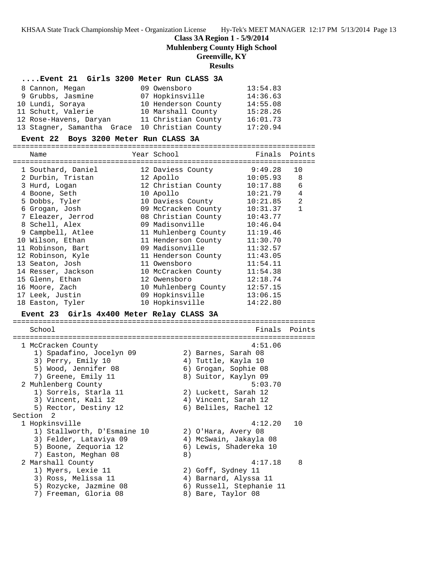## **Class 3A Region 1 - 5/9/2014**

**Muhlenberg County High School**

# **Greenville, KY**

## **Results**

## **....Event 21 Girls 3200 Meter Run CLASS 3A**

| 8 Cannon, Megan            | 09 Owensboro        | 13:54.83 |
|----------------------------|---------------------|----------|
| 9 Grubbs, Jasmine          | 07 Hopkinsville     | 14:36.63 |
| 10 Lundi, Soraya           | 10 Henderson County | 14:55.08 |
| 11 Schutt, Valerie         | 10 Marshall County  | 15:28.26 |
| 12 Rose-Havens, Daryan     | 11 Christian County | 16:01.73 |
| 13 Stagner, Samantha Grace | 10 Christian County | 17:20.94 |

## **Event 22 Boys 3200 Meter Run CLASS 3A**

=======================================================================

| Name                                                                                                                                                                                                                                                                                                                                                                                         | Year School                                                                                                                                                                                                                                                                                                                                                            | Finals                                                                                                                                                                                                              | Points                                                           |
|----------------------------------------------------------------------------------------------------------------------------------------------------------------------------------------------------------------------------------------------------------------------------------------------------------------------------------------------------------------------------------------------|------------------------------------------------------------------------------------------------------------------------------------------------------------------------------------------------------------------------------------------------------------------------------------------------------------------------------------------------------------------------|---------------------------------------------------------------------------------------------------------------------------------------------------------------------------------------------------------------------|------------------------------------------------------------------|
| 1 Southard, Daniel<br>2 Durbin, Tristan<br>3 Hurd, Logan<br>4 Boone, Seth<br>5 Dobbs, Tyler<br>6 Grogan, Josh<br>7 Eleazer, Jerrod<br>8 Schell, Alex<br>9 Campbell, Atlee<br>10 Wilson, Ethan<br>11 Robinson, Bart<br>12 Robinson, Kyle<br>13 Seaton, Josh<br>14 Resser, Jackson<br>15 Glenn, Ethan<br>16 Moore, Zach<br>17 Leek, Justin<br>18 Easton, Tyler                                 | 12 Daviess County<br>12 Apollo<br>12 Christian County<br>10 Apollo<br>10 Daviess County<br>09 McCracken County<br>08 Christian County<br>09 Madisonville<br>11 Muhlenberg County<br>11 Henderson County<br>09 Madisonville<br>11 Henderson County<br>11 Owensboro<br>10 McCracken County<br>12 Owensboro<br>10 Muhlenberg County<br>09 Hopkinsville<br>10 Hopkinsville | 9:49.28<br>10:05.93<br>10:17.88<br>10:21.79<br>10:21.85<br>10:31.37<br>10:43.77<br>10:46.04<br>11:19.46<br>11:30.70<br>11:32.57<br>11:43.05<br>11:54.11<br>11:54.38<br>12:18.74<br>12:57.15<br>13:06.15<br>14:22.80 | 10<br>8<br>6<br>$\overline{4}$<br>$\overline{2}$<br>$\mathbf{1}$ |
| Event 23 Girls 4x400 Meter Relay CLASS 3A                                                                                                                                                                                                                                                                                                                                                    |                                                                                                                                                                                                                                                                                                                                                                        |                                                                                                                                                                                                                     |                                                                  |
| School                                                                                                                                                                                                                                                                                                                                                                                       |                                                                                                                                                                                                                                                                                                                                                                        | Finals                                                                                                                                                                                                              | Points                                                           |
| 1 McCracken County<br>1) Spadafino, Jocelyn 09<br>3) Perry, Emily 10<br>5) Wood, Jennifer 08<br>7) Greene, Emily 11<br>2 Muhlenberg County<br>1) Sorrels, Starla 11<br>3) Vincent, Kali 12<br>5) Rector, Destiny 12<br>Section <sub>2</sub><br>1 Hopkinsville<br>1) Stallworth, D'Esmaine 10<br>3) Felder, Lataviya 09<br>5) Boone, Zequoria 12<br>7) Easton, Meghan 08<br>2 Marshall County | 2) Barnes, Sarah 08<br>4) Tuttle, Kayla 10<br>6) Grogan, Sophie 08<br>8) Suitor, Kaylyn 09<br>2) Luckett, Sarah 12<br>4) Vincent, Sarah 12<br>6) Beliles, Rachel 12<br>2) O'Hara, Avery 08<br>4) McSwain, Jakayla 08<br>6) Lewis, Shadereka 10<br>8)                                                                                                                   | 4:51.06<br>5:03.70<br>4:12.20<br>4:17.18                                                                                                                                                                            | 10<br>8                                                          |
| 1) Myers, Lexie 11<br>3) Ross, Melissa 11<br>5) Rozycke, Jazmine 08<br>7) Freeman, Gloria 08                                                                                                                                                                                                                                                                                                 | 2) Goff, Sydney 11<br>4) Barnard, Alyssa 11<br>6) Russell, Stephanie 11<br>8) Bare, Taylor 08                                                                                                                                                                                                                                                                          |                                                                                                                                                                                                                     |                                                                  |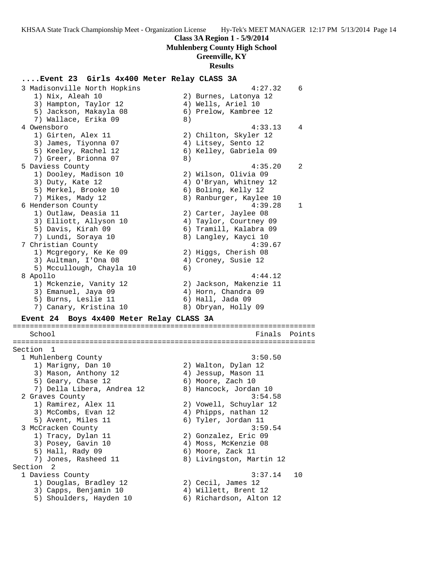## **Muhlenberg County High School**

## **Greenville, KY**

#### **Results**

#### **....Event 23 Girls 4x400 Meter Relay CLASS 3A**

 3 Madisonville North Hopkins 4:27.32 6 1) Nix, Aleah 10 2) Burnes, Latonya 12 3) Hampton, Taylor 12 (4) Wells, Ariel 10 5) Jackson, Makayla 08 6) Prelow, Kambree 12 7) Wallace, Erika 09 8) 4 Owensboro 4:33.13 4 1) Girten, Alex 11 2) Chilton, Skyler 12 3) James, Tiyonna 07 4) Litsey, Sento 12 5) Keeley, Rachel 12 6) Kelley, Gabriela 09 7) Greer, Brionna 07 (8) 5 Daviess County 4:35.20 2 1) Dooley, Madison 10 2) Wilson, Olivia 09 3) Duty, Kate 12 4) O'Bryan, Whitney 12 5) Merkel, Brooke 10 (6) Boling, Kelly 12 7) Mikes, Mady 12 8) Ranburger, Kaylee 10 6 Henderson County 4:39.28 1 1) Outlaw, Deasia 11 2) Carter, Jaylee 08 3) Elliott, Allyson 10 4) Taylor, Courtney 09 5) Davis, Kirah 09 6) Tramill, Kalabra 09 7) Lundi, Soraya 10 8) Langley, Kayci 10 7 Christian County 4:39.67 1) Mcgregory, Ke Ke 09 2) Higgs, Cherish 08 3) Aultman, I'Ona 08 (4) Croney, Susie 12 5) Mccullough, Chayla 10 6) 8 Apollo 4:44.12 1) Mckenzie, Vanity 12 2) Jackson, Makenzie 11 3) Emanuel, Jaya 09 (4) Horn, Chandra 09 5) Burns, Leslie 11 (6) Hall, Jada 09 7) Canary, Kristina 10 8) Obryan, Holly 09 **Event 24 Boys 4x400 Meter Relay CLASS 3A** ======================================================================= School **Finals** Points ======================================================================= Section 1 1 Muhlenberg County 3:50.50 1) Marigny, Dan 10 2) Walton, Dylan 12 3) Mason, Anthony 12 (4) Jessup, Mason 11 5) Geary, Chase 12 6) Moore, Zach 10 7) Della Libera, Andrea 12 8) Hancock, Jordan 10 2 Graves County 3:54.58 1) Ramirez, Alex 11 2) Vowell, Schuylar 12 3) McCombs, Evan 12 (4) Phipps, nathan 12 5) Avent, Miles 11 6) Tyler, Jordan 11 3 McCracken County 3:59.54 1) Tracy, Dylan 11 2) Gonzalez, Eric 09 3) Posey, Gavin 10  $\hskip1cm \hskip1cm 4$ ) Moss, McKenzie 08 5) Hall, Rady 09 6) Moore, Zack 11 7) Jones, Rasheed 11 8) Livingston, Martin 12 Section 2 1 Daviess County 3:37.14 10 1) Douglas, Bradley 12 2) Cecil, James 12 3) Capps, Benjamin 10  $\hphantom{\text{2.65}$  4) Willett, Brent 12

5) Shoulders, Hayden 10 6) Richardson, Alton 12